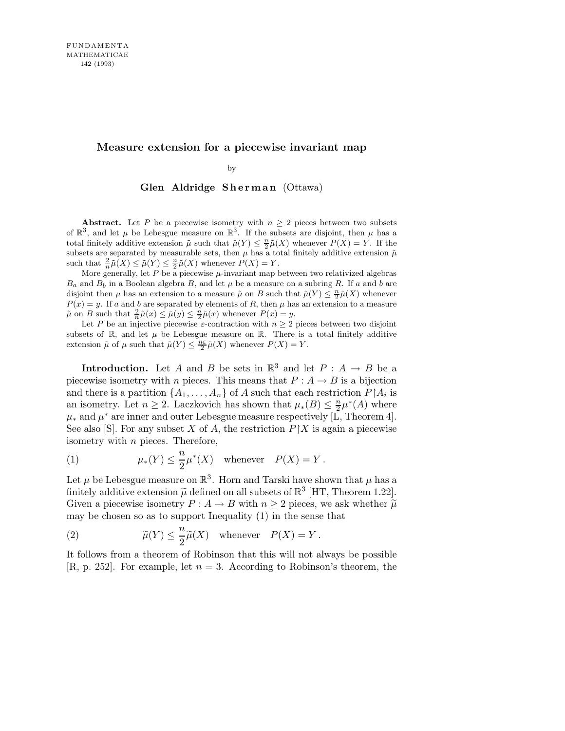## **Measure extension for a piecewise invariant map**

by

Glen Aldridge Sherman (Ottawa)

**Abstract.** Let *P* be a piecewise isometry with  $n \geq 2$  pieces between two subsets of  $\mathbb{R}^3$ , and let  $\mu$  be Lebesgue measure on  $\mathbb{R}^3$ . If the subsets are disjoint, then  $\mu$  has a total finitely additive extension  $\tilde{\mu}$  such that  $\tilde{\mu}(Y) \leq \frac{n}{2}$  $\frac{n}{2}\tilde{\mu}(X)$  whenever  $P(X) = Y$ . If the subsets are separated by measurable sets, then  $\mu$  has a total finitely additive extension  $\tilde{\mu}$ such that  $\frac{2}{n}\tilde{\mu}(X) \leq \tilde{\mu}(Y) \leq \frac{n}{2}$  $\frac{n}{2}\tilde{\mu}(X)$  whenever  $P(X) = Y$ .

More generally, let  $P$  be a piecewise  $\mu$ -invariant map between two relativized algebras  $B_a$  and  $B_b$  in a Boolean algebra  $B$ , and let  $\mu$  be a measure on a subring  $R$ . If  $a$  and  $b$  are disjoint then  $\mu$  has an extension to a measure  $\tilde{\mu}$  on *B* such that  $\tilde{\mu}(Y) \leq \frac{n}{2}$  $\frac{n}{2}\tilde{\mu}(X)$  whenever  $P(x) = y$ . If *a* and *b* are separated by elements of *R*, then  $\mu$  has an extension to a measure  $\mu$  on *B* such that  $\frac{2}{n}\tilde{\mu}(x) \leq \mu(y) \leq \frac{n}{2}$  $\frac{n}{2}\tilde{\mu}(x)$  whenever  $P(x) = y$ .

Let *P* be an injective piecewise  $\varepsilon$ -contraction with  $n \geq 2$  pieces between two disjoint subsets of  $\mathbb{R}$ , and let  $\mu$  be Lebesgue measure on  $\mathbb{R}$ . There is a total finitely additive extension  $\tilde{\mu}$  of  $\mu$  such that  $\tilde{\mu}(Y) \leq \frac{n\varepsilon}{2}$  $\frac{2}{2}\tilde{\mu}(X)$  whenever  $P(X) = Y$ .

**Introduction.** Let A and B be sets in  $\mathbb{R}^3$  and let  $P : A \to B$  be a piecewise isometry with n pieces. This means that  $P : A \to B$  is a bijection and there is a partition  $\{A_1, \ldots, A_n\}$  of A such that each restriction  $P \upharpoonright A_i$  is an isometry. Let  $n \geq 2$ . Laczkovich has shown that  $\mu_*(B) \leq \frac{n}{2}$  $\frac{n}{2}\mu^*(A)$  where  $\mu_*$  and  $\mu^*$  are inner and outer Lebesgue measure respectively [L, Theorem 4]. See also [S]. For any subset X of A, the restriction  $P\restriction X$  is again a piecewise isometry with n pieces. Therefore,

(1) 
$$
\mu_*(Y) \leq \frac{n}{2}\mu^*(X) \quad \text{whenever} \quad P(X) = Y.
$$

Let  $\mu$  be Lebesgue measure on  $\mathbb{R}^3$ . Horn and Tarski have shown that  $\mu$  has a finitely additive extension  $\tilde{\mu}$  defined on all subsets of  $\mathbb{R}^3$  [HT, Theorem 1.22]. Given a piecewise isometry  $P : A \to B$  with  $n \geq 2$  pieces, we ask whether  $\tilde{\mu}$ may be chosen so as to support Inequality (1) in the sense that

(2) 
$$
\widetilde{\mu}(Y) \leq \frac{n}{2}\widetilde{\mu}(X)
$$
 whenever  $P(X) = Y$ .

It follows from a theorem of Robinson that this will not always be possible  $[R, p. 252]$ . For example, let  $n = 3$ . According to Robinson's theorem, the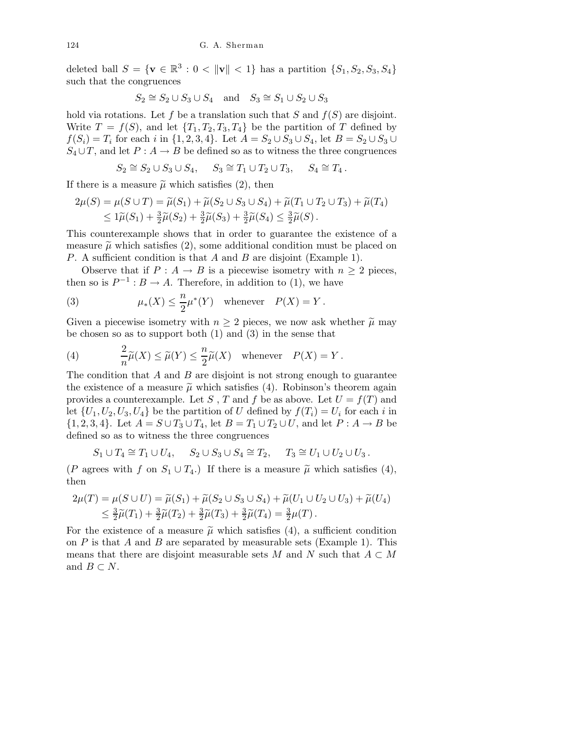deleted ball  $S = \{ \mathbf{v} \in \mathbb{R}^3 : 0 < ||\mathbf{v}|| < 1 \}$  has a partition  $\{S_1, S_2, S_3, S_4\}$ such that the congruences

$$
S_2 \cong S_2 \cup S_3 \cup S_4 \quad \text{and} \quad S_3 \cong S_1 \cup S_2 \cup S_3
$$

hold via rotations. Let f be a translation such that S and  $f(S)$  are disjoint. Write  $T = f(S)$ , and let  $\{T_1, T_2, T_3, T_4\}$  be the partition of T defined by  $f(S_i) = T_i$  for each i in  $\{1, 2, 3, 4\}$ . Let  $A = S_2 \cup S_3 \cup S_4$ , let  $B = S_2 \cup S_3 \cup S_4$  $S_4 \cup T$ , and let  $P : A \to B$  be defined so as to witness the three congruences

$$
S_2 \cong S_2 \cup S_3 \cup S_4, \quad S_3 \cong T_1 \cup T_2 \cup T_3, \quad S_4 \cong T_4.
$$

If there is a measure  $\tilde{\mu}$  which satisfies (2), then

$$
2\mu(S) = \mu(S \cup T) = \widetilde{\mu}(S_1) + \widetilde{\mu}(S_2 \cup S_3 \cup S_4) + \widetilde{\mu}(T_1 \cup T_2 \cup T_3) + \widetilde{\mu}(T_4)
$$
  
\n
$$
\leq 1\widetilde{\mu}(S_1) + \frac{3}{2}\widetilde{\mu}(S_2) + \frac{3}{2}\widetilde{\mu}(S_3) + \frac{3}{2}\widetilde{\mu}(S_4) \leq \frac{3}{2}\widetilde{\mu}(S).
$$

This counterexample shows that in order to guarantee the existence of a measure  $\tilde{\mu}$  which satisfies (2), some additional condition must be placed on P. A sufficient condition is that A and B are disjoint (Example 1).

Observe that if  $P : A \to B$  is a piecewise isometry with  $n \geq 2$  pieces, then so is  $P^{-1}: B \to A$ . Therefore, in addition to (1), we have

(3) 
$$
\mu_*(X) \leq \frac{n}{2}\mu^*(Y) \quad \text{whenever} \quad P(X) = Y.
$$

Given a piecewise isometry with  $n \geq 2$  pieces, we now ask whether  $\tilde{\mu}$  may be chosen so as to support both (1) and (3) in the sense that

(4) 
$$
\frac{2}{n}\widetilde{\mu}(X) \le \widetilde{\mu}(Y) \le \frac{n}{2}\widetilde{\mu}(X) \quad \text{whenever} \quad P(X) = Y.
$$

The condition that  $A$  and  $B$  are disjoint is not strong enough to guarantee the existence of a measure  $\tilde{\mu}$  which satisfies (4). Robinson's theorem again provides a counterexample. Let S, T and f be as above. Let  $U = f(T)$  and let  $\{U_1, U_2, U_3, U_4\}$  be the partition of U defined by  $f(T_i) = U_i$  for each i in  $\{1,2,3,4\}$ . Let  $A = S \cup T_3 \cup T_4$ , let  $B = T_1 \cup T_2 \cup U$ , and let  $P: A \rightarrow B$  be defined so as to witness the three congruences

$$
S_1 \cup T_4 \cong T_1 \cup U_4, \quad S_2 \cup S_3 \cup S_4 \cong T_2, \quad T_3 \cong U_1 \cup U_2 \cup U_3.
$$

(P agrees with f on  $S_1 \cup T_4$ .) If there is a measure  $\tilde{\mu}$  which satisfies (4), then

$$
2\mu(T) = \mu(S \cup U) = \tilde{\mu}(S_1) + \tilde{\mu}(S_2 \cup S_3 \cup S_4) + \tilde{\mu}(U_1 \cup U_2 \cup U_3) + \tilde{\mu}(U_4) \n\le \frac{3}{2}\tilde{\mu}(T_1) + \frac{3}{2}\tilde{\mu}(T_2) + \frac{3}{2}\tilde{\mu}(T_3) + \frac{3}{2}\tilde{\mu}(T_4) = \frac{3}{2}\mu(T).
$$

For the existence of a measure  $\tilde{\mu}$  which satisfies (4), a sufficient condition on  $P$  is that  $A$  and  $B$  are separated by measurable sets (Example 1). This means that there are disjoint measurable sets M and N such that  $A \subset M$ and  $B \subset N$ .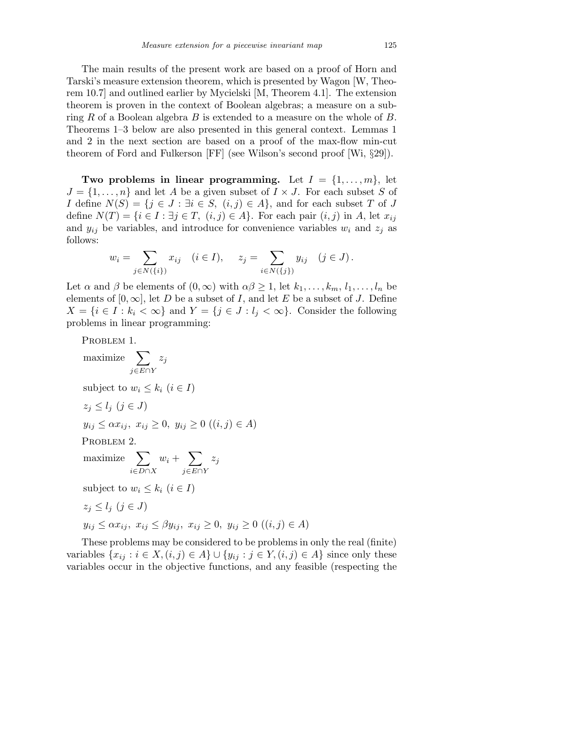The main results of the present work are based on a proof of Horn and Tarski's measure extension theorem, which is presented by Wagon [W, Theorem 10.7] and outlined earlier by Mycielski [M, Theorem 4.1]. The extension theorem is proven in the context of Boolean algebras; a measure on a subring  $R$  of a Boolean algebra  $B$  is extended to a measure on the whole of  $B$ . Theorems 1–3 below are also presented in this general context. Lemmas 1 and 2 in the next section are based on a proof of the max-flow min-cut theorem of Ford and Fulkerson [FF] (see Wilson's second proof [Wi, §29]).

Two problems in linear programming. Let  $I = \{1, \ldots, m\}$ , let  $J = \{1, \ldots, n\}$  and let A be a given subset of  $I \times J$ . For each subset S of *I* define  $N(S) = \{j \in J : \exists i \in S, (i,j) \in A\}$ , and for each subset T of J define  $N(T) = \{i \in I : \exists j \in T, (i, j) \in A\}$ . For each pair  $(i, j)$  in A, let  $x_{ij}$ and  $y_{ij}$  be variables, and introduce for convenience variables  $w_i$  and  $z_j$  as follows:

$$
w_i = \sum_{j \in N(\{i\})} x_{ij} \quad (i \in I), \quad z_j = \sum_{i \in N(\{j\})} y_{ij} \quad (j \in J).
$$

Let  $\alpha$  and  $\beta$  be elements of  $(0,\infty)$  with  $\alpha\beta \geq 1$ , let  $k_1,\ldots,k_m, l_1,\ldots,l_n$  be elements of  $[0, \infty]$ , let D be a subset of I, and let E be a subset of J. Define  $X = \{i \in I : k_i < \infty\}$  and  $Y = \{j \in J : l_j < \infty\}$ . Consider the following problems in linear programming:

PROBLEM 1.

maximize 
$$
\sum_{j \in E \cap Y} z_j
$$
  
\nsubject to  $w_i \le k_i$   $(i \in I)$   
\n $z_j \le l_j$   $(j \in J)$   
\n $y_{ij} \le \alpha x_{ij}, x_{ij} \ge 0, y_{ij} \ge 0$   $((i, j) \in A)$   
\nPROBLEM 2.  
\nmaximize 
$$
\sum_{i \in D \cap X} w_i + \sum_{j \in E \cap Y} z_j
$$
  
\nsubject to  $w_i \le k_i$   $(i \in I)$   
\n $z_j \le l_j$   $(j \in J)$   
\n $y_{ij} \le \alpha x_{ij}, x_{ij} \le \beta y_{ij}, x_{ij} \ge 0, y_{ij} \ge 0$   $((i, j) \in A)$ 

These problems may be considered to be problems in only the real (finite) variables  $\{x_{ij} : i \in X, (i,j) \in A\} \cup \{y_{ij} : j \in Y, (i,j) \in A\}$  since only these variables occur in the objective functions, and any feasible (respecting the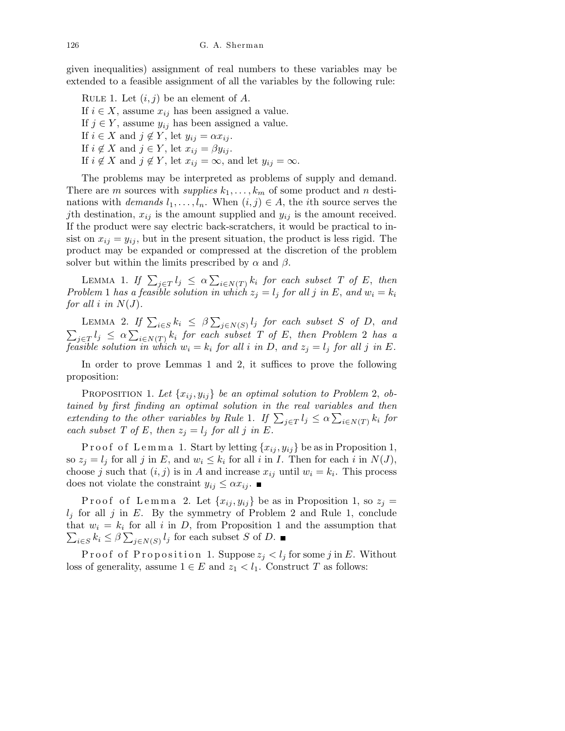given inequalities) assignment of real numbers to these variables may be extended to a feasible assignment of all the variables by the following rule:

RULE 1. Let  $(i, j)$  be an element of A. If  $i \in X$ , assume  $x_{ij}$  has been assigned a value. If  $j \in Y$ , assume  $y_{ij}$  has been assigned a value. If  $i \in X$  and  $j \notin Y$ , let  $y_{ij} = \alpha x_{ij}$ . If  $i \notin X$  and  $j \in Y$ , let  $x_{ij} = \beta y_{ij}$ . If  $i \notin X$  and  $j \notin Y$ , let  $x_{ij} = \infty$ , and let  $y_{ij} = \infty$ .

The problems may be interpreted as problems of supply and demand. There are m sources with supplies  $k_1, \ldots, k_m$  of some product and n destinations with *demands*  $l_1, \ldots, l_n$ . When  $(i, j) \in A$ , the *i*th source serves the jth destination,  $x_{ij}$  is the amount supplied and  $y_{ij}$  is the amount received. If the product were say electric back-scratchers, it would be practical to insist on  $x_{ij} = y_{ij}$ , but in the present situation, the product is less rigid. The product may be expanded or compressed at the discretion of the problem solver but within the limits prescribed by  $\alpha$  and  $\beta$ .

LEMMA 1. If  $\sum_{j \in T} l_j \leq \alpha \sum_{i \in N(T)} k_i$  for each subset T of E, then Problem 1 has a feasible solution in which  $z_j = l_j$  for all j in E, and  $w_i = k_i$ for all i in  $N(J)$ .

LEMMA 2. If  $\sum_{i \in S} k_i \leq \beta \sum_{j \in N(S)} l_j$  for each subset S of D, and  $\sum_{j\in T}l_j \leq \alpha\sum_{i\in N(T)}k_i$  for each subset T of E, then Problem 2 has a feasible solution in which  $w_i = k_i$  for all i in D, and  $z_j = l_j$  for all j in E.

In order to prove Lemmas 1 and 2, it suffices to prove the following proposition:

PROPOSITION 1. Let  $\{x_{ij}, y_{ij}\}$  be an optimal solution to Problem 2, obtained by first finding an optimal solution in the real variables and then extending to the other variables by Rule 1. If  $\sum_{j\in T} l_j \leq \alpha \sum_{i\in N(T)} k_i$  for each subset T of E, then  $z_j = l_j$  for all j in E.

P r o o f o f L e m m a 1. Start by letting  $\{x_{ij}, y_{ij}\}$  be as in Proposition 1, so  $z_j = l_j$  for all j in E, and  $w_i \leq k_i$  for all i in I. Then for each i in  $N(J)$ , choose j such that  $(i, j)$  is in A and increase  $x_{ij}$  until  $w_i = k_i$ . This process does not violate the constraint  $y_{ij} \leq \alpha x_{ij}$ .

Proof of Lemma 2. Let  ${x_{ij}, y_{ij}}$  be as in Proposition 1, so  $z_j =$  $l_i$  for all j in E. By the symmetry of Problem 2 and Rule 1, conclude that  $w_i = k_i$  for all i in D, from Proposition 1 and the assumption that  $\sum_{i \in S} k_i \leq \beta \sum_{j \in N(S)} l_j$  for each subset S of D.

Proof of Proposition 1. Suppose  $z_j < l_j$  for some j in E. Without loss of generality, assume  $1 \in E$  and  $z_1 < l_1$ . Construct T as follows: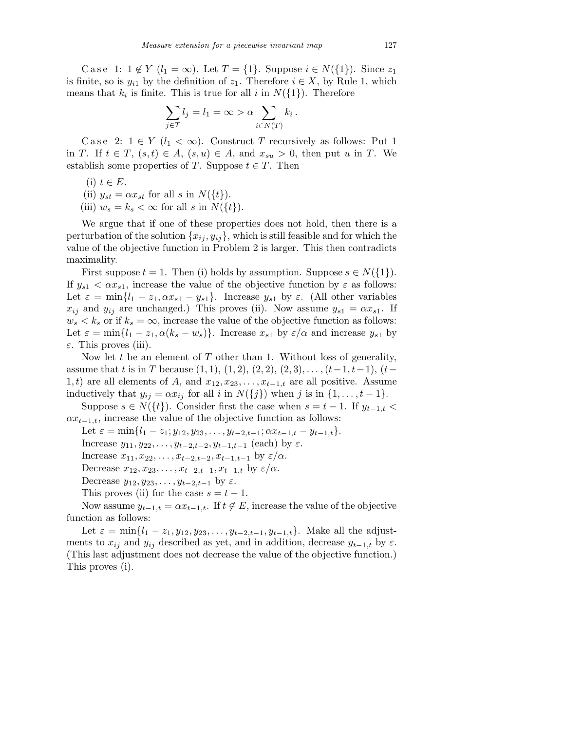Case 1:  $1 \notin Y$   $(l_1 = \infty)$ . Let  $T = \{1\}$ . Suppose  $i \in N(\{1\})$ . Since  $z_1$ is finite, so is  $y_{i1}$  by the definition of  $z_1$ . Therefore  $i \in X$ , by Rule 1, which means that  $k_i$  is finite. This is true for all i in  $N({1})$ . Therefore

$$
\sum_{j \in T} l_j = l_1 = \infty > \alpha \sum_{i \in N(T)} k_i \, .
$$

Case 2:  $1 \in Y$  ( $l_1 < \infty$ ). Construct T recursively as follows: Put 1 in T. If  $t \in T$ ,  $(s,t) \in A$ ,  $(s,u) \in A$ , and  $x_{su} > 0$ , then put u in T. We establish some properties of T. Suppose  $t \in T$ . Then

(i)  $t \in E$ .

(ii)  $y_{st} = \alpha x_{st}$  for all s in  $N({t}).$ 

(iii)  $w_s = k_s < \infty$  for all s in  $N({t}).$ 

We argue that if one of these properties does not hold, then there is a perturbation of the solution  ${x_{ij}, y_{ij}}$ , which is still feasible and for which the value of the objective function in Problem 2 is larger. This then contradicts maximality.

First suppose  $t = 1$ . Then (i) holds by assumption. Suppose  $s \in N({1})$ . If  $y_{s1} < \alpha x_{s1}$ , increase the value of the objective function by  $\varepsilon$  as follows: Let  $\varepsilon = \min\{l_1 - z_1, \alpha x_{s1} - y_{s1}\}\.$  Increase  $y_{s1}$  by  $\varepsilon$ . (All other variables  $x_{ij}$  and  $y_{ij}$  are unchanged.) This proves (ii). Now assume  $y_{s1} = \alpha x_{s1}$ . If  $w_s < k_s$  or if  $k_s = \infty$ , increase the value of the objective function as follows: Let  $\varepsilon = \min\{l_1 - z_1, \alpha(k_s - w_s)\}\.$  Increase  $x_{s1}$  by  $\varepsilon/\alpha$  and increase  $y_{s1}$  by  $\varepsilon$ . This proves (iii).

Now let t be an element of  $T$  other than 1. Without loss of generality, assume that t is in T because  $(1, 1), (1, 2), (2, 2), (2, 3), \ldots, (t-1, t-1), (t-1)$ 1, t) are all elements of A, and  $x_{12}, x_{23}, \ldots, x_{t-1,t}$  are all positive. Assume inductively that  $y_{ij} = \alpha x_{ij}$  for all i in  $N({j})$  when j is in  ${1, \ldots, t-1}$ .

Suppose  $s \in N({t})$ . Consider first the case when  $s = t - 1$ . If  $y_{t-1,t}$  $\alpha x_{t-1,t}$ , increase the value of the objective function as follows:

Let  $\varepsilon = \min\{l_1 - z_1; y_{12}, y_{23}, \ldots, y_{t-2,t-1}; \alpha x_{t-1,t} - y_{t-1,t}\}.$ 

Increase  $y_{11}, y_{22}, \ldots, y_{t-2,t-2}, y_{t-1,t-1}$  (each) by  $\varepsilon$ .

Increase  $x_{11}, x_{22}, \ldots, x_{t-2,t-2}, x_{t-1,t-1}$  by  $\varepsilon/\alpha$ .

Decrease  $x_{12}, x_{23}, \ldots, x_{t-2,t-1}, x_{t-1,t}$  by  $\varepsilon/\alpha$ .

Decrease  $y_{12}, y_{23}, \ldots, y_{t-2,t-1}$  by  $\varepsilon$ .

This proves (ii) for the case  $s = t - 1$ .

Now assume  $y_{t-1,t} = \alpha x_{t-1,t}$ . If  $t \notin E$ , increase the value of the objective function as follows:

Let  $\varepsilon = \min\{l_1 - z_1, y_{12}, y_{23}, \ldots, y_{t-2,t-1}, y_{t-1,t}\}.$  Make all the adjustments to  $x_{ij}$  and  $y_{ij}$  described as yet, and in addition, decrease  $y_{t-1,t}$  by  $\varepsilon$ . (This last adjustment does not decrease the value of the objective function.) This proves (i).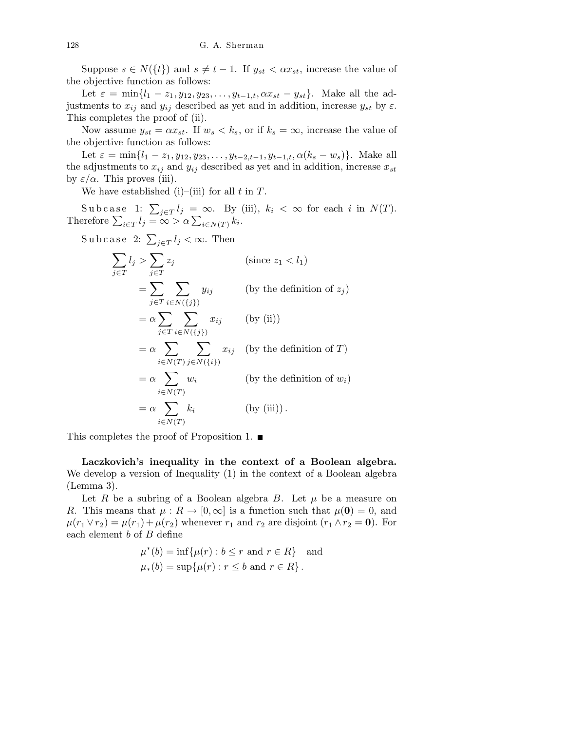Suppose  $s \in N({t})$  and  $s \neq t - 1$ . If  $y_{st} < \alpha x_{st}$ , increase the value of the objective function as follows:

Let  $\varepsilon = \min\{l_1 - z_1, y_{12}, y_{23}, \dots, y_{t-1,t}, \alpha x_{st} - y_{st}\}.$  Make all the adjustments to  $x_{ij}$  and  $y_{ij}$  described as yet and in addition, increase  $y_{st}$  by  $\varepsilon$ . This completes the proof of (ii).

Now assume  $y_{st} = \alpha x_{st}$ . If  $w_s < k_s$ , or if  $k_s = \infty$ , increase the value of the objective function as follows:

Let  $\varepsilon = \min\{l_1 - z_1, y_{12}, y_{23}, \ldots, y_{t-2,t-1}, y_{t-1,t}, \alpha(k_s - w_s)\}.$  Make all the adjustments to  $x_{ij}$  and  $y_{ij}$  described as yet and in addition, increase  $x_{st}$ by  $\varepsilon/\alpha$ . This proves (iii).

We have established (i)–(iii) for all t in  $T$ .

Subcase 1:  $\sum_{j\in T} l_j = \infty$ . By (iii),  $k_i < \infty$  for each i in  $N(T)$ . Therefore  $\sum_{i \in T} l_i = \infty > \alpha \sum_{i \in N(T)} k_i$ .

Subcase 2:  $\sum_{j \in T} l_j < \infty$ . Then

$$
\sum_{j \in T} l_j > \sum_{j \in T} z_j \qquad \text{(since } z_1 < l_1\text{)}
$$
\n
$$
= \sum_{j \in T} \sum_{i \in N(\{j\})} y_{ij} \qquad \text{(by the definition of } z_j\text{)}
$$
\n
$$
= \alpha \sum_{j \in T} \sum_{i \in N(\{j\})} x_{ij} \qquad \text{(by (ii))}
$$
\n
$$
= \alpha \sum_{i \in N(T)} \sum_{j \in N(\{i\})} x_{ij} \qquad \text{(by the definition of } T\text{)}
$$
\n
$$
= \alpha \sum_{i \in N(T)} w_i \qquad \text{(by the definition of } w_i\text{)}
$$
\n
$$
= \alpha \sum_{i \in N(T)} k_i \qquad \text{(by (iii))}.
$$

This completes the proof of Proposition 1.  $\blacksquare$ 

Laczkovich's inequality in the context of a Boolean algebra. We develop a version of Inequality (1) in the context of a Boolean algebra (Lemma 3).

Let R be a subring of a Boolean algebra B. Let  $\mu$  be a measure on R. This means that  $\mu : R \to [0, \infty]$  is a function such that  $\mu(0) = 0$ , and  $\mu(r_1 \vee r_2) = \mu(r_1) + \mu(r_2)$  whenever  $r_1$  and  $r_2$  are disjoint  $(r_1 \wedge r_2 = 0)$ . For each element b of B define

$$
\mu^*(b) = \inf \{ \mu(r) : b \le r \text{ and } r \in R \} \text{ and}
$$
  

$$
\mu_*(b) = \sup \{ \mu(r) : r \le b \text{ and } r \in R \}.
$$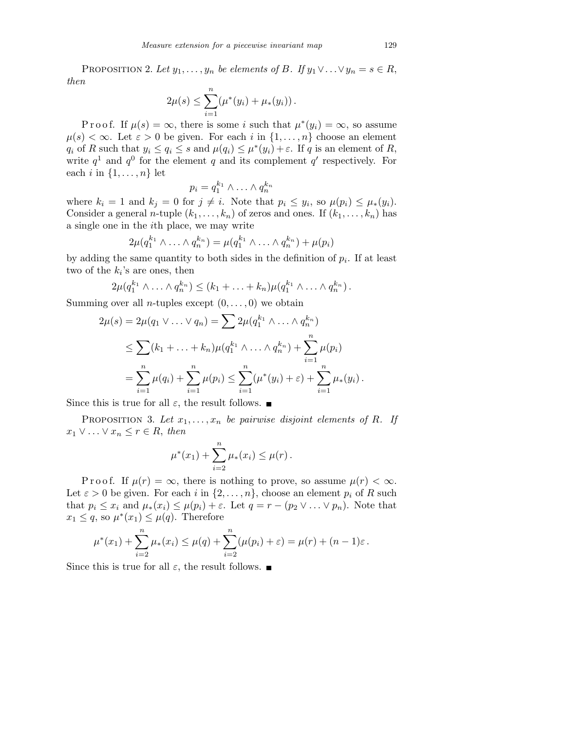PROPOSITION 2. Let  $y_1, \ldots, y_n$  be elements of B. If  $y_1 \vee \ldots \vee y_n = s \in R$ , then

$$
2\mu(s) \leq \sum_{i=1}^n (\mu^*(y_i) + \mu_*(y_i)).
$$

P r o o f. If  $\mu(s) = \infty$ , there is some i such that  $\mu^*(y_i) = \infty$ , so assume  $\mu(s) < \infty$ . Let  $\varepsilon > 0$  be given. For each i in  $\{1, \ldots, n\}$  choose an element  $q_i$  of R such that  $y_i \le q_i \le s$  and  $\mu(q_i) \le \mu^*(y_i) + \varepsilon$ . If q is an element of R, write  $q<sup>1</sup>$  and  $q<sup>0</sup>$  for the element q and its complement q' respectively. For each i in  $\{1, \ldots, n\}$  let

$$
p_i = q_1^{k_1} \wedge \ldots \wedge q_n^{k_n}
$$

where  $k_i = 1$  and  $k_j = 0$  for  $j \neq i$ . Note that  $p_i \leq y_i$ , so  $\mu(p_i) \leq \mu_*(y_i)$ . Consider a general *n*-tuple  $(k_1, \ldots, k_n)$  of zeros and ones. If  $(k_1, \ldots, k_n)$  has a single one in the ith place, we may write

$$
2\mu(q_1^{k_1}\wedge \ldots \wedge q_n^{k_n}) = \mu(q_1^{k_1}\wedge \ldots \wedge q_n^{k_n}) + \mu(p_i)
$$

by adding the same quantity to both sides in the definition of  $p_i$ . If at least two of the  $k_i$ 's are ones, then

$$
2\mu(q_1^{k_1}\wedge \ldots \wedge q_n^{k_n}) \leq (k_1+\ldots+k_n)\mu(q_1^{k_1}\wedge \ldots \wedge q_n^{k_n}).
$$

Summing over all *n*-tuples except  $(0, \ldots, 0)$  we obtain

$$
2\mu(s) = 2\mu(q_1 \vee \ldots \vee q_n) = \sum 2\mu(q_1^{k_1} \wedge \ldots \wedge q_n^{k_n})
$$
  
\n
$$
\leq \sum (k_1 + \ldots + k_n) \mu(q_1^{k_1} \wedge \ldots \wedge q_n^{k_n}) + \sum_{i=1}^n \mu(p_i)
$$
  
\n
$$
= \sum_{i=1}^n \mu(q_i) + \sum_{i=1}^n \mu(p_i) \leq \sum_{i=1}^n (\mu^*(y_i) + \varepsilon) + \sum_{i=1}^n \mu_*(y_i).
$$

Since this is true for all  $\varepsilon$ , the result follows.  $\blacksquare$ 

PROPOSITION 3. Let  $x_1, \ldots, x_n$  be pairwise disjoint elements of R. If  $x_1 \vee \ldots \vee x_n \leq r \in R$ , then

$$
\mu^*(x_1) + \sum_{i=2}^n \mu_*(x_i) \leq \mu(r).
$$

P r o o f. If  $\mu(r) = \infty$ , there is nothing to prove, so assume  $\mu(r) < \infty$ . Let  $\varepsilon > 0$  be given. For each i in  $\{2, \ldots, n\}$ , choose an element  $p_i$  of R such that  $p_i \leq x_i$  and  $\mu_*(x_i) \leq \mu(p_i) + \varepsilon$ . Let  $q = r - (p_2 \vee \ldots \vee p_n)$ . Note that  $x_1 \leq q$ , so  $\mu^*(x_1) \leq \mu(q)$ . Therefore

$$
\mu^*(x_1) + \sum_{i=2}^n \mu_*(x_i) \le \mu(q) + \sum_{i=2}^n (\mu(p_i) + \varepsilon) = \mu(r) + (n-1)\varepsilon.
$$

Since this is true for all  $\varepsilon$ , the result follows.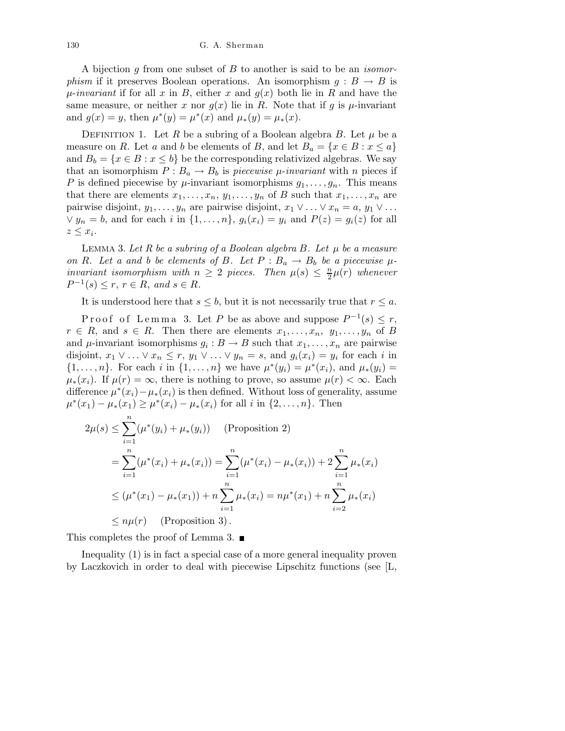A bijection g from one subset of  $B$  to another is said to be an *isomorphism* if it preserves Boolean operations. An isomorphism  $g : B \to B$  is  $\mu$ -invariant if for all x in B, either x and  $q(x)$  both lie in R and have the same measure, or neither x nor  $g(x)$  lie in R. Note that if g is  $\mu$ -invariant and  $g(x) = y$ , then  $\mu^*(y) = \mu^*(x)$  and  $\mu^*(y) = \mu^*(x)$ .

DEFINITION 1. Let R be a subring of a Boolean algebra B. Let  $\mu$  be a measure on R. Let a and b be elements of B, and let  $B_a = \{x \in B : x \le a\}$ and  $B_b = \{x \in B : x \leq b\}$  be the corresponding relativized algebras. We say that an isomorphism  $P : B_a \to B_b$  is piecewise  $\mu$ -invariant with n pieces if P is defined piecewise by  $\mu$ -invariant isomorphisms  $g_1, \ldots, g_n$ . This means that there are elements  $x_1, \ldots, x_n, y_1, \ldots, y_n$  of B such that  $x_1, \ldots, x_n$  are pairwise disjoint,  $y_1, \ldots, y_n$  are pairwise disjoint,  $x_1 \vee \ldots \vee x_n = a, y_1 \vee \ldots$  $\vee y_n = b$ , and for each i in  $\{1, \ldots, n\}$ ,  $g_i(x_i) = y_i$  and  $P(z) = g_i(z)$  for all  $z \leq x_i$ .

LEMMA 3. Let R be a subring of a Boolean algebra B. Let  $\mu$  be a measure on R. Let a and b be elements of B. Let  $P : B_a \to B_b$  be a piecewise  $\mu$ invariant isomorphism with  $n \geq 2$  pieces. Then  $\mu(s) \leq \frac{n}{2}$  $\frac{n}{2}\mu(r)$  whenever  $P^{-1}(s) \leq r, r \in R$ , and  $s \in R$ .

It is understood here that  $s \leq b$ , but it is not necessarily true that  $r \leq a$ .

Proof of Lemma 3. Let P be as above and suppose  $P^{-1}(s) \leq r$ ,  $r \in R$ , and  $s \in R$ . Then there are elements  $x_1, \ldots, x_n, y_1, \ldots, y_n$  of B and  $\mu$ -invariant isomorphisms  $g_i : B \to B$  such that  $x_1, \ldots, x_n$  are pairwise disjoint,  $x_1 \vee \ldots \vee x_n \leq r$ ,  $y_1 \vee \ldots \vee y_n = s$ , and  $g_i(x_i) = y_i$  for each i in  $\{1, ..., n\}$ . For each i in  $\{1, ..., n\}$  we have  $\mu^*(y_i) = \mu^*(x_i)$ , and  $\mu_*(y_i) =$  $\mu_*(x_i)$ . If  $\mu(r) = \infty$ , there is nothing to prove, so assume  $\mu(r) < \infty$ . Each difference  $\mu^*(x_i) - \mu_*(x_i)$  is then defined. Without loss of generality, assume  $\mu^*(x_1) - \mu_*(x_1) \ge \mu^*(x_i) - \mu_*(x_i)$  for all *i* in  $\{2, ..., n\}$ . Then

$$
2\mu(s) \le \sum_{i=1}^{n} (\mu^*(y_i) + \mu_*(y_i)) \quad \text{(Proposition 2)}
$$
  
= 
$$
\sum_{i=1}^{n} (\mu^*(x_i) + \mu_*(x_i)) = \sum_{i=1}^{n} (\mu^*(x_i) - \mu_*(x_i)) + 2 \sum_{i=1}^{n} \mu_*(x_i)
$$
  

$$
\le (\mu^*(x_1) - \mu_*(x_1)) + n \sum_{i=1}^{n} \mu_*(x_i) = n\mu^*(x_1) + n \sum_{i=2}^{n} \mu_*(x_i)
$$
  

$$
\le n\mu(r) \quad \text{(Proposition 3)}.
$$

This completes the proof of Lemma 3.  $\blacksquare$ 

Inequality (1) is in fact a special case of a more general inequality proven by Laczkovich in order to deal with piecewise Lipschitz functions (see [L,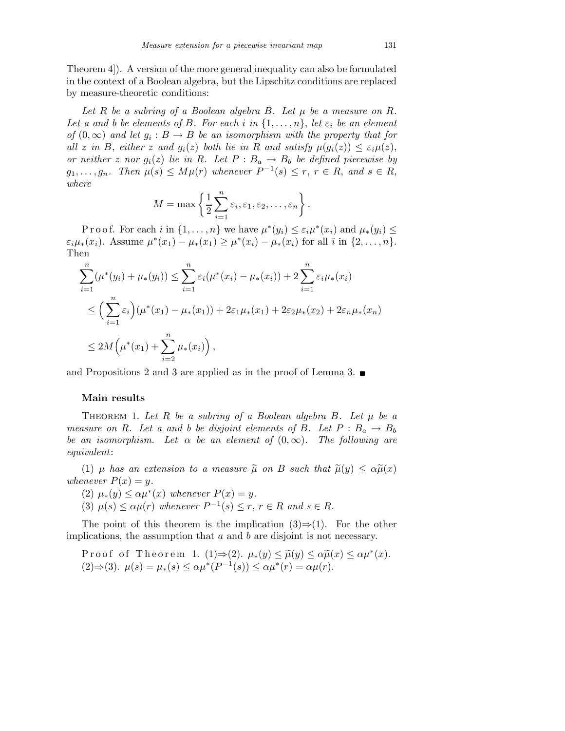Theorem 4]). A version of the more general inequality can also be formulated in the context of a Boolean algebra, but the Lipschitz conditions are replaced by measure-theoretic conditions:

Let R be a subring of a Boolean algebra B. Let  $\mu$  be a measure on R. Let a and b be elements of B. For each i in  $\{1,\ldots,n\}$ , let  $\varepsilon_i$  be an element of  $(0, \infty)$  and let  $g_i : B \to B$  be an isomorphism with the property that for all z in B, either z and  $g_i(z)$  both lie in R and satisfy  $\mu(g_i(z)) \leq \varepsilon_i \mu(z)$ , or neither z nor  $g_i(z)$  lie in R. Let  $P : B_a \to B_b$  be defined piecewise by  $g_1, \ldots, g_n$ . Then  $\mu(s) \leq M\mu(r)$  whenever  $P^{-1}(s) \leq r, r \in R$ , and  $s \in R$ , where

$$
M = \max \left\{ \frac{1}{2} \sum_{i=1}^{n} \varepsilon_i, \varepsilon_1, \varepsilon_2, \dots, \varepsilon_n \right\}.
$$

P r o o f. For each i in  $\{1, \ldots, n\}$  we have  $\mu^*(y_i) \leq \varepsilon_i \mu^*(x_i)$  and  $\mu^*(y_i) \leq$  $\varepsilon_i\mu_*(x_i)$ . Assume  $\mu^*(x_1) - \mu_*(x_1) \ge \mu^*(x_i) - \mu_*(x_i)$  for all  $i$  in  $\{2,\ldots,n\}$ . Then

$$
\sum_{i=1}^{n} (\mu^*(y_i) + \mu_*(y_i)) \leq \sum_{i=1}^{n} \varepsilon_i (\mu^*(x_i) - \mu_*(x_i)) + 2 \sum_{i=1}^{n} \varepsilon_i \mu_*(x_i)
$$
\n
$$
\leq \left(\sum_{i=1}^{n} \varepsilon_i\right) (\mu^*(x_1) - \mu_*(x_1)) + 2\varepsilon_1 \mu_*(x_1) + 2\varepsilon_2 \mu_*(x_2) + 2\varepsilon_n \mu_*(x_n)
$$
\n
$$
\leq 2M \left(\mu^*(x_1) + \sum_{i=2}^{n} \mu_*(x_i)\right),
$$

and Propositions 2 and 3 are applied as in the proof of Lemma 3.  $\blacksquare$ 

## Main results

THEOREM 1. Let R be a subring of a Boolean algebra B. Let  $\mu$  be a measure on R. Let a and b be disjoint elements of B. Let  $P: B_a \to B_b$ be an isomorphism. Let  $\alpha$  be an element of  $(0,\infty)$ . The following are equivalent:

(1)  $\mu$  has an extension to a measure  $\tilde{\mu}$  on B such that  $\tilde{\mu}(y) \leq \alpha \tilde{\mu}(x)$ whenever  $P(x) = y$ .

(2) 
$$
\mu_*(y) \leq \alpha \mu^*(x)
$$
 whenever  $P(x) = y$ .

(3)  $\mu(s) \leq \alpha \mu(r)$  whenever  $P^{-1}(s) \leq r, r \in R$  and  $s \in R$ .

The point of this theorem is the implication  $(3) \Rightarrow (1)$ . For the other implications, the assumption that  $a$  and  $b$  are disjoint is not necessary.

Proof of Theorem 1. (1) $\Rightarrow$ (2).  $\mu_*(y) \leq \tilde{\mu}(y) \leq \alpha \tilde{\mu}(x) \leq \alpha \mu^*(x)$ . (2)⇒(3).  $\mu(s) = \mu_*(s) \leq \alpha \mu^*(P^{-1}(s)) \leq \alpha \mu^*(r) = \alpha \mu(r)$ .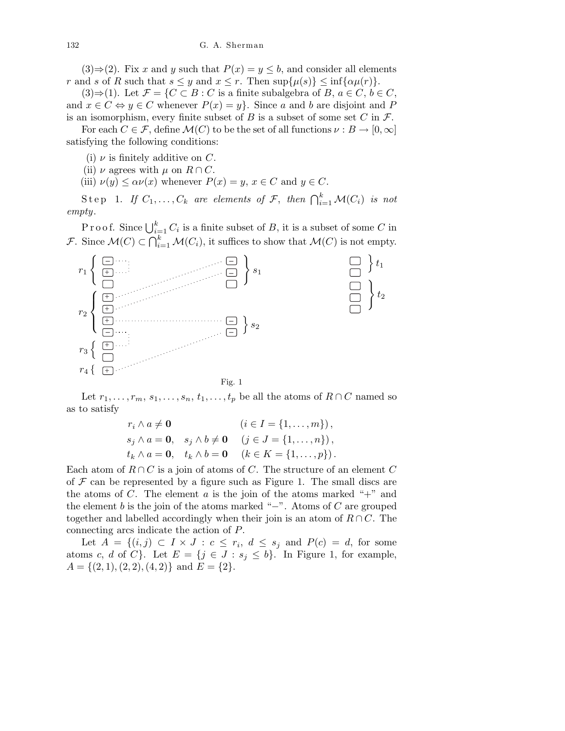$(3) \Rightarrow (2)$ . Fix x and y such that  $P(x) = y \leq b$ , and consider all elements r and s of R such that  $s \leq y$  and  $x \leq r$ . Then  $\sup\{\mu(s)\} \leq \inf\{\alpha\mu(r)\}.$ 

(3)⇒(1). Let  $\mathcal{F} = \{C \subset B : C$  is a finite subalgebra of B,  $a \in C, b \in C$ , and  $x \in C \Leftrightarrow y \in C$  whenever  $P(x) = y$ . Since a and b are disjoint and P is an isomorphism, every finite subset of B is a subset of some set C in  $\mathcal{F}$ .

For each  $C \in \mathcal{F}$ , define  $\mathcal{M}(C)$  to be the set of all functions  $\nu : B \to [0, \infty]$ satisfying the following conditions:

(i)  $\nu$  is finitely additive on C.

(ii)  $\nu$  agrees with  $\mu$  on  $R \cap C$ .

(iii)  $\nu(y) \leq \alpha \nu(x)$  whenever  $P(x) = y$ ,  $x \in C$  and  $y \in C$ .

Step 1. If  $C_1, \ldots, C_k$  are elements of F, then  $\bigcap_{i=1}^k \mathcal{M}(C_i)$  is not empty.

Proof. Since  $\bigcup_{i=1}^{k} C_i$  is a finite subset of B, it is a subset of some C in F. Since  $\mathcal{M}(C) \subset \bigcap_{i=1}^k \mathcal{M}(C_i)$ , it suffices to show that  $\mathcal{M}(C)$  is not empty.



Let  $r_1, \ldots, r_m, s_1, \ldots, s_n, t_1, \ldots, t_p$  be all the atoms of  $R \cap C$  named so as to satisfy

$$
r_i \wedge a \neq \mathbf{0} \qquad (i \in I = \{1, ..., m\}),
$$
  
\n
$$
s_j \wedge a = \mathbf{0}, \quad s_j \wedge b \neq \mathbf{0} \qquad (j \in J = \{1, ..., n\}),
$$
  
\n
$$
t_k \wedge a = \mathbf{0}, \quad t_k \wedge b = \mathbf{0} \qquad (k \in K = \{1, ..., p\}).
$$

Each atom of  $R \cap C$  is a join of atoms of C. The structure of an element C of  $\mathcal F$  can be represented by a figure such as Figure 1. The small discs are the atoms of  $C$ . The element  $a$  is the join of the atoms marked "+" and the element  $b$  is the join of the atoms marked "−". Atoms of  $C$  are grouped together and labelled accordingly when their join is an atom of  $R \cap C$ . The connecting arcs indicate the action of P.

Let  $A = \{(i, j) \subset I \times J : c \leq r_i, d \leq s_j \text{ and } P(c) = d, \text{ for some }$ atoms c, d of C}. Let  $E = \{j \in J : s_j \leq b\}$ . In Figure 1, for example,  $A = \{(2, 1), (2, 2), (4, 2)\}\$ and  $E = \{2\}.$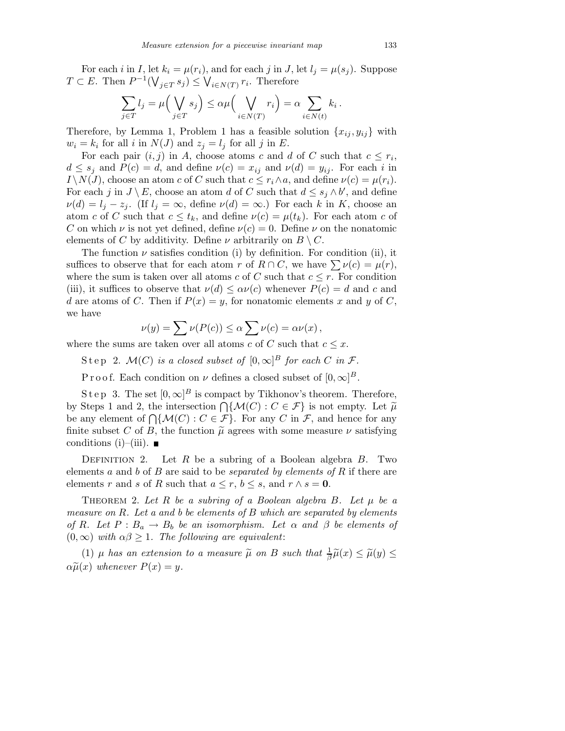For each i in I, let  $k_i = \mu(r_i)$ , and for each j in J, let  $l_i = \mu(s_i)$ . Suppose  $T \subset E$ . Then  $P^{-1}(\bigvee_{j \in T} s_j) \leq \bigvee_{i \in N(T)} r_i$ . Therefore

$$
\sum_{j \in T} l_j = \mu \Big( \bigvee_{j \in T} s_j \Big) \leq \alpha \mu \Big( \bigvee_{i \in N(T)} r_i \Big) = \alpha \sum_{i \in N(t)} k_i \, .
$$

Therefore, by Lemma 1, Problem 1 has a feasible solution  $\{x_{ij}, y_{ij}\}$  with  $w_i = k_i$  for all i in  $N(J)$  and  $z_j = l_j$  for all j in E.

For each pair  $(i, j)$  in A, choose atoms c and d of C such that  $c \leq r_i$ ,  $d \leq s_i$  and  $P(c) = d$ , and define  $\nu(c) = x_{ij}$  and  $\nu(d) = y_{ij}$ . For each i in  $I \setminus N(J)$ , choose an atom c of C such that  $c \leq r_i \wedge a$ , and define  $\nu(c) = \mu(r_i)$ . For each j in  $J \setminus E$ , choose an atom d of C such that  $d \leq s_j \wedge b'$ , and define  $\nu(d) = l_j - z_j$ . (If  $l_j = \infty$ , define  $\nu(d) = \infty$ .) For each k in K, choose an atom c of C such that  $c \leq t_k$ , and define  $\nu(c) = \mu(t_k)$ . For each atom c of C on which  $\nu$  is not yet defined, define  $\nu(c) = 0$ . Define  $\nu$  on the nonatomic elements of C by additivity. Define  $\nu$  arbitrarily on  $B \setminus C$ .

The function  $\nu$  satisfies condition (i) by definition. For condition (ii), it suffices to observe that for each atom r of  $R \cap C$ , we have  $\sum \nu(c) = \mu(r)$ , where the sum is taken over all atoms c of C such that  $c \leq r$ . For condition (iii), it suffices to observe that  $\nu(d) \leq \alpha \nu(c)$  whenever  $P(c) = d$  and c and d are atoms of C. Then if  $P(x) = y$ , for nonatomic elements x and y of C, we have

$$
\nu(y) = \sum \nu(P(c)) \leq \alpha \sum \nu(c) = \alpha \nu(x),
$$

where the sums are taken over all atoms c of C such that  $c \leq x$ .

Step 2.  $\mathcal{M}(C)$  is a closed subset of  $[0,\infty]^B$  for each C in F.

P r o o f. Each condition on  $\nu$  defines a closed subset of  $[0,\infty]^B$ .

Step 3. The set  $[0,\infty]^B$  is compact by Tikhonov's theorem. Therefore, by Steps 1 and 2, the intersection  $\bigcap \{\mathcal{M}(C) : C \in \mathcal{F}\}\$  is not empty. Let  $\widetilde{\mu}$ be any element of  $\bigcap \{ \mathcal{M}(C) : C \in \mathcal{F} \}$ . For any C in F, and hence for any finite subset C of B, the function  $\tilde{\mu}$  agrees with some measure  $\nu$  satisfying conditions (i)–(iii).  $\blacksquare$ 

DEFINITION 2. Let R be a subring of a Boolean algebra  $B$ . Two elements a and b of B are said to be *separated by elements of R* if there are elements r and s of R such that  $a \leq r, b \leq s$ , and  $r \wedge s = 0$ .

THEOREM 2. Let R be a subring of a Boolean algebra B. Let  $\mu$  be a measure on  $R$ . Let a and b be elements of  $B$  which are separated by elements of R. Let  $P : B_a \to B_b$  be an isomorphism. Let  $\alpha$  and  $\beta$  be elements of  $(0, \infty)$  with  $\alpha\beta \geq 1$ . The following are equivalent:

(1)  $\mu$  has an extension to a measure  $\widetilde{\mu}$  on B such that  $\frac{1}{\beta}\widetilde{\mu}(x) \leq \widetilde{\mu}(y) \leq$  $\alpha \widetilde{\mu}(x)$  whenever  $P(x) = y$ .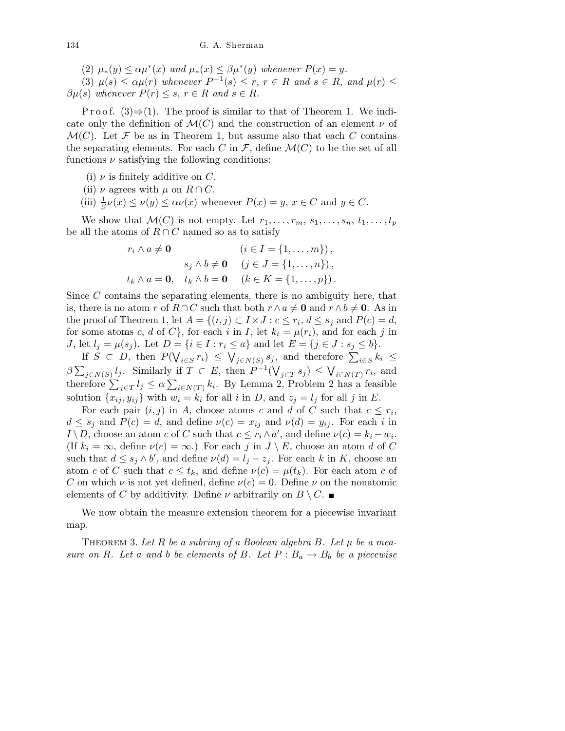(2)  $\mu_*(y) \leq \alpha \mu^*(x)$  and  $\mu_*(x) \leq \beta \mu^*(y)$  whenever  $P(x) = y$ .

(3)  $\mu(s) \leq \alpha \mu(r)$  whenever  $P^{-1}(s) \leq r$ ,  $r \in R$  and  $s \in R$ , and  $\mu(r) \leq$  $\beta\mu(s)$  whenever  $P(r) \leq s, r \in R$  and  $s \in R$ .

P r o o f.  $(3) \Rightarrow (1)$ . The proof is similar to that of Theorem 1. We indicate only the definition of  $\mathcal{M}(C)$  and the construction of an element  $\nu$  of  $\mathcal{M}(C)$ . Let F be as in Theorem 1, but assume also that each C contains the separating elements. For each C in  $\mathcal{F}$ , define  $\mathcal{M}(C)$  to be the set of all functions  $\nu$  satisfying the following conditions:

- (i)  $\nu$  is finitely additive on C.
- (ii)  $\nu$  agrees with  $\mu$  on  $R \cap C$ .
- (iii)  $\frac{1}{\beta}\nu(x) \leq \nu(y) \leq \alpha \nu(x)$  whenever  $P(x) = y, x \in C$  and  $y \in C$ .

We show that  $\mathcal{M}(C)$  is not empty. Let  $r_1, \ldots, r_m, s_1, \ldots, s_n, t_1, \ldots, t_p$ be all the atoms of  $R \cap C$  named so as to satisfy

$$
r_i \wedge a \neq \mathbf{0} \qquad (i \in I = \{1, ..., m\}),
$$
  
\n
$$
s_j \wedge b \neq \mathbf{0} \quad (j \in J = \{1, ..., n\}),
$$
  
\n
$$
t_k \wedge a = \mathbf{0}, \quad t_k \wedge b = \mathbf{0} \quad (k \in K = \{1, ..., p\}).
$$

Since C contains the separating elements, there is no ambiguity here, that is, there is no atom r of  $R \cap C$  such that both  $r \wedge a \neq 0$  and  $r \wedge b \neq 0$ . As in the proof of Theorem 1, let  $A = \{(i, j) \subset I \times J : c \leq r_i, d \leq s_j \text{ and } P(c) = d,$ for some atoms c, d of C}, for each i in I, let  $k_i = \mu(r_i)$ , and for each j in J, let  $l_j = \mu(s_j)$ . Let  $D = \{i \in I : r_i \leq a\}$  and let  $E = \{j \in J : s_j \leq b\}$ .

If  $S \subset D$ , then  $P(\bigvee_{i \in S} r_i) \leq \bigvee_{j \in N(S)} s_j$ , and therefore  $\sum_{i \in S} k_i \leq$  $\beta \sum_{j \in N(S)} l_j$ . Similarly if  $T \subset E$ , then  $P^{-1}(\bigvee_{j \in T} s_j) \leq \bigvee_{i \in N(T)} r_i$ , and therefore  $\sum_{j\in T} l_j \leq \alpha \sum_{i\in N(T)} k_i$ . By Lemma 2, Problem 2 has a feasible solution  $\{x_{ij}, y_{ij}\}$  with  $w_i = k_i$  for all i in D, and  $z_j = l_j$  for all j in E.

For each pair  $(i, j)$  in A, choose atoms c and d of C such that  $c \leq r_i$ ,  $d \leq s_j$  and  $P(c) = d$ , and define  $\nu(c) = x_{ij}$  and  $\nu(d) = y_{ij}$ . For each i in  $I \setminus D$ , choose an atom c of C such that  $c \leq r_i \wedge a'$ , and define  $\nu(c) = k_i - w_i$ . (If  $k_i = \infty$ , define  $\nu(c) = \infty$ .) For each j in  $J \setminus E$ , choose an atom d of C such that  $d \leq s_j \wedge b'$ , and define  $\nu(d) = l_j - z_j$ . For each k in K, choose an atom c of C such that  $c \leq t_k$ , and define  $\nu(c) = \mu(t_k)$ . For each atom c of C on which  $\nu$  is not yet defined, define  $\nu(c) = 0$ . Define  $\nu$  on the nonatomic elements of C by additivity. Define  $\nu$  arbitrarily on  $B \setminus C$ .

We now obtain the measure extension theorem for a piecewise invariant map.

THEOREM 3. Let R be a subring of a Boolean algebra B. Let  $\mu$  be a measure on R. Let a and b be elements of B. Let  $P : B_a \to B_b$  be a piecewise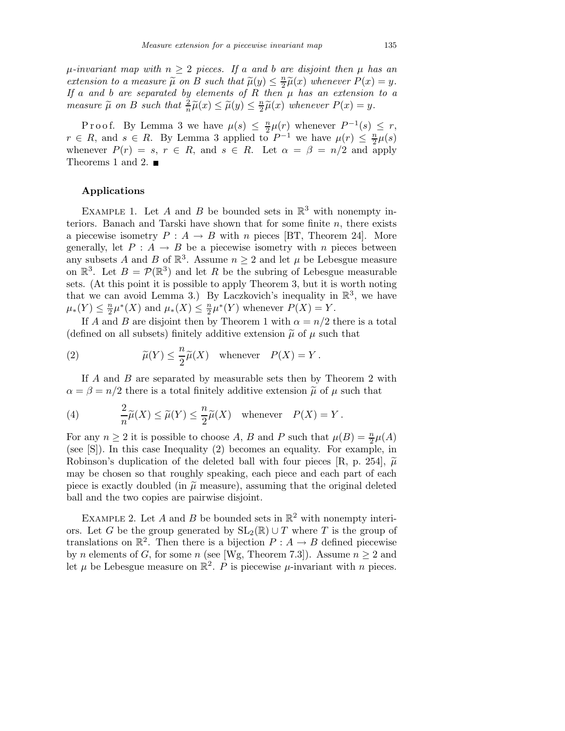$\mu$ -invariant map with  $n \geq 2$  pieces. If a and b are disjoint then  $\mu$  has an extension to a measure  $\widetilde{\mu}$  on B such that  $\widetilde{\mu}(y) \leq \frac{n}{2}$  $\frac{n}{2}\widetilde{\mu}(x)$  whenever  $P(x) = y$ . If a and b are separated by elements of  $R$  then  $\mu$  has an extension to a measure  $\widetilde{\mu}$  on B such that  $\frac{2}{n}\widetilde{\mu}(x) \leq \widetilde{\mu}(y) \leq \frac{n}{2}$  $\frac{n}{2}\widetilde{\mu}(x)$  whenever  $P(x) = y$ .

P r o o f. By Lemma 3 we have  $\mu(s) \leq \frac{n}{2}$  $\frac{n}{2}\mu(r)$  whenever  $P^{-1}(s) \leq r$ ,  $r \in R$ , and  $s \in R$ . By Lemma 3 applied to  $P^{-1}$  we have  $\mu(r) \leq \frac{n}{2}\mu(s)$ whenever  $P(r) = s, r \in R$ , and  $s \in R$ . Let  $\alpha = \beta = n/2$  and apply Theorems 1 and 2.  $\blacksquare$ 

## Applications

EXAMPLE 1. Let A and B be bounded sets in  $\mathbb{R}^3$  with nonempty interiors. Banach and Tarski have shown that for some finite  $n$ , there exists a piecewise isometry  $P: A \to B$  with n pieces [BT, Theorem 24]. More generally, let  $P : A \rightarrow B$  be a piecewise isometry with n pieces between any subsets A and B of  $\mathbb{R}^3$ . Assume  $n \geq 2$  and let  $\mu$  be Lebesgue measure on  $\mathbb{R}^3$ . Let  $B = \mathcal{P}(\mathbb{R}^3)$  and let R be the subring of Lebesgue measurable sets. (At this point it is possible to apply Theorem 3, but it is worth noting that we can avoid Lemma 3.) By Laczkovich's inequality in  $\mathbb{R}^3$ , we have  $\mu_*(Y) \leq \frac{n}{2}$  $\frac{n}{2}\mu^*(X)$  and  $\mu_*(X) \leq \frac{n}{2}$  $\frac{n}{2}\mu^*(Y)$  whenever  $P(X) = Y$ .

If A and B are disjoint then by Theorem 1 with  $\alpha = n/2$  there is a total (defined on all subsets) finitely additive extension  $\tilde{\mu}$  of  $\mu$  such that

(2) 
$$
\widetilde{\mu}(Y) \leq \frac{n}{2}\widetilde{\mu}(X)
$$
 whenever  $P(X) = Y$ .

If A and B are separated by measurable sets then by Theorem 2 with  $\alpha = \beta = n/2$  there is a total finitely additive extension  $\tilde{\mu}$  of  $\mu$  such that

(4) 
$$
\frac{2}{n}\widetilde{\mu}(X) \le \widetilde{\mu}(Y) \le \frac{n}{2}\widetilde{\mu}(X) \quad \text{whenever} \quad P(X) = Y.
$$

For any  $n \ge 2$  it is possible to choose A, B and P such that  $\mu(B) = \frac{n}{2}\mu(A)$ (see [S]). In this case Inequality (2) becomes an equality. For example, in Robinson's duplication of the deleted ball with four pieces [R, p. 254],  $\tilde{\mu}$ may be chosen so that roughly speaking, each piece and each part of each piece is exactly doubled (in  $\tilde{\mu}$  measure), assuming that the original deleted ball and the two copies are pairwise disjoint.

EXAMPLE 2. Let A and B be bounded sets in  $\mathbb{R}^2$  with nonempty interiors. Let G be the group generated by  $SL_2(\mathbb{R}) \cup T$  where T is the group of translations on  $\mathbb{R}^2$ . Then there is a bijection  $P: A \to B$  defined piecewise by *n* elements of *G*, for some *n* (see [Wg, Theorem 7.3]). Assume  $n > 2$  and let  $\mu$  be Lebesgue measure on  $\mathbb{R}^2$ . P is piecewise  $\mu$ -invariant with n pieces.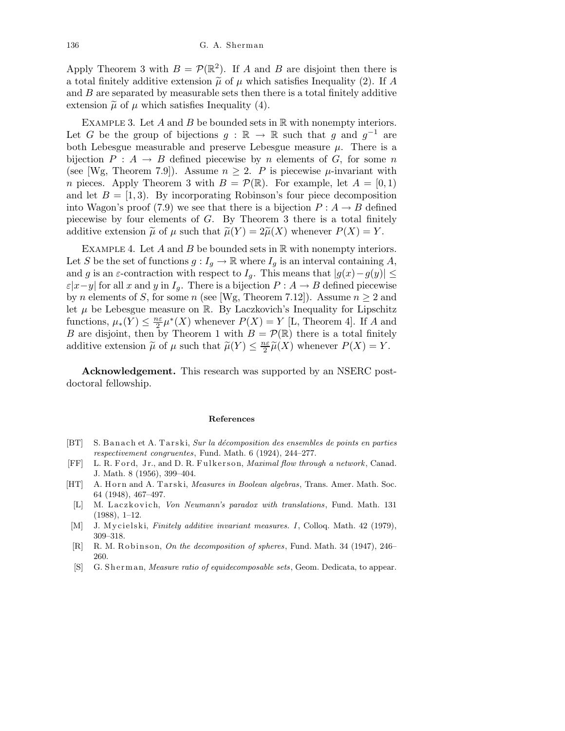Apply Theorem 3 with  $B = \mathcal{P}(\mathbb{R}^2)$ . If A and B are disjoint then there is a total finitely additive extension  $\tilde{\mu}$  of  $\mu$  which satisfies Inequality (2). If A and  $B$  are separated by measurable sets then there is a total finitely additive extension  $\tilde{\mu}$  of  $\mu$  which satisfies Inequality (4).

EXAMPLE 3. Let  $A$  and  $B$  be bounded sets in  $\mathbb R$  with nonempty interiors. Let G be the group of bijections  $g : \mathbb{R} \to \mathbb{R}$  such that g and  $g^{-1}$  are both Lebesgue measurable and preserve Lebesgue measure  $\mu$ . There is a bijection  $P : A \rightarrow B$  defined piecewise by n elements of G, for some n (see [Wg, Theorem 7.9]). Assume  $n \geq 2$ . P is piecewise  $\mu$ -invariant with *n* pieces. Apply Theorem 3 with  $B = \mathcal{P}(\mathbb{R})$ . For example, let  $A = [0, 1)$ and let  $B = [1, 3)$ . By incorporating Robinson's four piece decomposition into Wagon's proof (7.9) we see that there is a bijection  $P : A \to B$  defined piecewise by four elements of  $G$ . By Theorem 3 there is a total finitely additive extension  $\tilde{\mu}$  of  $\mu$  such that  $\tilde{\mu}(Y) = 2\tilde{\mu}(X)$  whenever  $P(X) = Y$ .

EXAMPLE 4. Let  $A$  and  $B$  be bounded sets in  $\mathbb R$  with nonempty interiors. Let S be the set of functions  $g: I_g \to \mathbb{R}$  where  $I_g$  is an interval containing A, and g is an  $\varepsilon$ -contraction with respect to  $I_g$ . This means that  $|g(x)-g(y)| \leq$  $\varepsilon |x-y|$  for all x and y in  $I_q$ . There is a bijection  $P : A \to B$  defined piecewise by *n* elements of *S*, for some *n* (see [Wg, Theorem 7.12]). Assume  $n \geq 2$  and let  $\mu$  be Lebesgue measure on R. By Laczkovich's Inequality for Lipschitz functions,  $\mu_*(Y) \leq \frac{n\varepsilon}{2}$  $\frac{2\epsilon}{2}\mu^*(X)$  whenever  $P(X) = Y$  [L, Theorem 4]. If A and B are disjoint, then by Theorem 1 with  $B = \mathcal{P}(\mathbb{R})$  there is a total finitely additive extension  $\tilde{\mu}$  of  $\mu$  such that  $\tilde{\mu}(Y) \leq \frac{n\varepsilon}{2}$  $\frac{2\epsilon}{2}\widetilde{\mu}(X)$  whenever  $P(X) = Y$ .

Acknowledgement. This research was supported by an NSERC postdoctoral fellowship.

## **References**

- [BT] S. Banach et A. Tarski, *Sur la décomposition des ensembles de points en parties respectivement congruentes*, Fund. Math. 6 (1924), 244–277.
- [FF] L. R. F o r d, J r., and D. R. F ul k e r s o n, *Maximal flow through a network*, Canad. J. Math. 8 (1956), 399–404.
- [HT] A. H orn and A. Tarski, *Measures in Boolean algebras*, Trans. Amer. Math. Soc. 64 (1948), 467–497.
- [L] M. Laczkovich, *Von Neumann's paradox with translations*, Fund. Math. 131 (1988), 1–12.
- [M] J. Mycielski, *Finitely additive invariant measures. I*, Colloq. Math. 42 (1979), 309–318.
- [R] R. M. Robinson, *On the decomposition of spheres*, Fund. Math. 34 (1947), 246– 260.
- [S] G. Sherman, *Measure ratio of equidecomposable sets*, Geom. Dedicata, to appear.